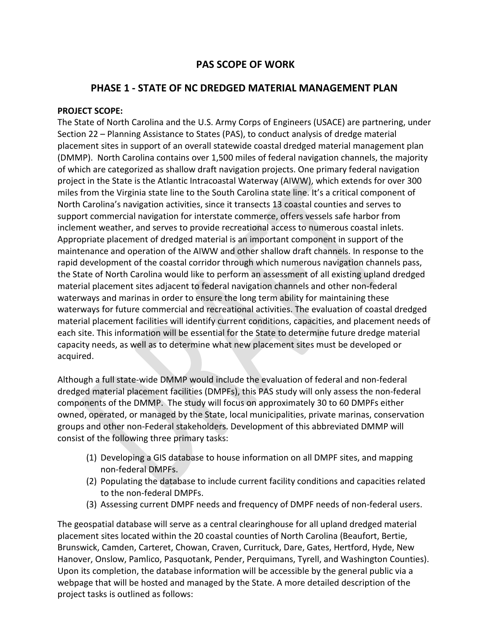# **PAS SCOPE OF WORK**

## **PHASE 1 - STATE OF NC DREDGED MATERIAL MANAGEMENT PLAN**

#### **PROJECT SCOPE:**

The State of North Carolina and the U.S. Army Corps of Engineers (USACE) are partnering, under Section 22 – Planning Assistance to States (PAS), to conduct analysis of dredge material placement sites in support of an overall statewide coastal dredged material management plan (DMMP). North Carolina contains over 1,500 miles of federal navigation channels, the majority of which are categorized as shallow draft navigation projects. One primary federal navigation project in the State is the Atlantic Intracoastal Waterway (AIWW), which extends for over 300 miles from the Virginia state line to the South Carolina state line. It's a critical component of North Carolina's navigation activities, since it transects 13 coastal counties and serves to support commercial navigation for interstate commerce, offers vessels safe harbor from inclement weather, and serves to provide recreational access to numerous coastal inlets. Appropriate placement of dredged material is an important component in support of the maintenance and operation of the AIWW and other shallow draft channels. In response to the rapid development of the coastal corridor through which numerous navigation channels pass, the State of North Carolina would like to perform an assessment of all existing upland dredged material placement sites adjacent to federal navigation channels and other non-federal waterways and marinas in order to ensure the long term ability for maintaining these waterways for future commercial and recreational activities. The evaluation of coastal dredged material placement facilities will identify current conditions, capacities, and placement needs of each site. This information will be essential for the State to determine future dredge material capacity needs, as well as to determine what new placement sites must be developed or acquired.

Although a full state-wide DMMP would include the evaluation of federal and non-federal dredged material placement facilities (DMPFs), this PAS study will only assess the non-federal components of the DMMP. The study will focus on approximately 30 to 60 DMPFs either owned, operated, or managed by the State, local municipalities, private marinas, conservation groups and other non-Federal stakeholders. Development of this abbreviated DMMP will consist of the following three primary tasks:

- (1) Developing a GIS database to house information on all DMPF sites, and mapping non-federal DMPFs.
- (2) Populating the database to include current facility conditions and capacities related to the non-federal DMPFs.
- (3) Assessing current DMPF needs and frequency of DMPF needs of non-federal users.

The geospatial database will serve as a central clearinghouse for all upland dredged material placement sites located within the 20 coastal counties of North Carolina (Beaufort, Bertie, Brunswick, Camden, Carteret, Chowan, Craven, Currituck, Dare, Gates, Hertford, Hyde, New Hanover, Onslow, Pamlico, Pasquotank, Pender, Perquimans, Tyrell, and Washington Counties). Upon its completion, the database information will be accessible by the general public via a webpage that will be hosted and managed by the State. A more detailed description of the project tasks is outlined as follows: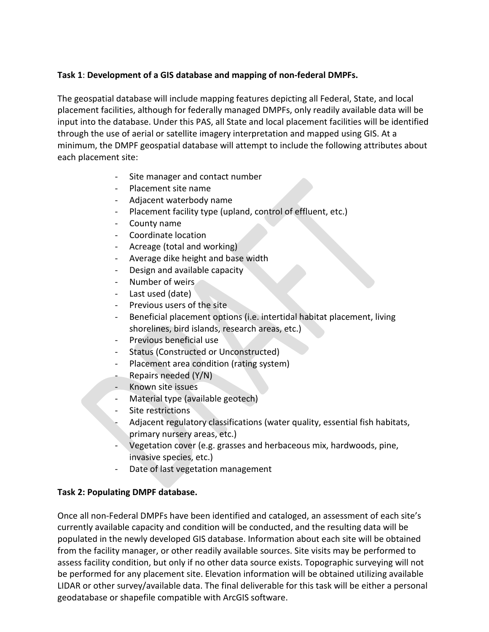## **Task 1**: **Development of a GIS database and mapping of non-federal DMPFs.**

The geospatial database will include mapping features depicting all Federal, State, and local placement facilities, although for federally managed DMPFs, only readily available data will be input into the database. Under this PAS, all State and local placement facilities will be identified through the use of aerial or satellite imagery interpretation and mapped using GIS. At a minimum, the DMPF geospatial database will attempt to include the following attributes about each placement site:

- Site manager and contact number
- Placement site name
- Adjacent waterbody name
- Placement facility type (upland, control of effluent, etc.)
- County name
- Coordinate location
- Acreage (total and working)
- Average dike height and base width
- Design and available capacity
- Number of weirs
- Last used (date)
- Previous users of the site
- Beneficial placement options (i.e. intertidal habitat placement, living shorelines, bird islands, research areas, etc.)
- Previous beneficial use
- Status (Constructed or Unconstructed)
- Placement area condition (rating system)
- Repairs needed (Y/N)
- Known site issues
- Material type (available geotech)
- Site restrictions
- Adjacent regulatory classifications (water quality, essential fish habitats, primary nursery areas, etc.)
- Vegetation cover (e.g. grasses and herbaceous mix, hardwoods, pine, invasive species, etc.)
- Date of last vegetation management

## **Task 2: Populating DMPF database.**

Once all non-Federal DMPFs have been identified and cataloged, an assessment of each site's currently available capacity and condition will be conducted, and the resulting data will be populated in the newly developed GIS database. Information about each site will be obtained from the facility manager, or other readily available sources. Site visits may be performed to assess facility condition, but only if no other data source exists. Topographic surveying will not be performed for any placement site. Elevation information will be obtained utilizing available LIDAR or other survey/available data. The final deliverable for this task will be either a personal geodatabase or shapefile compatible with ArcGIS software.